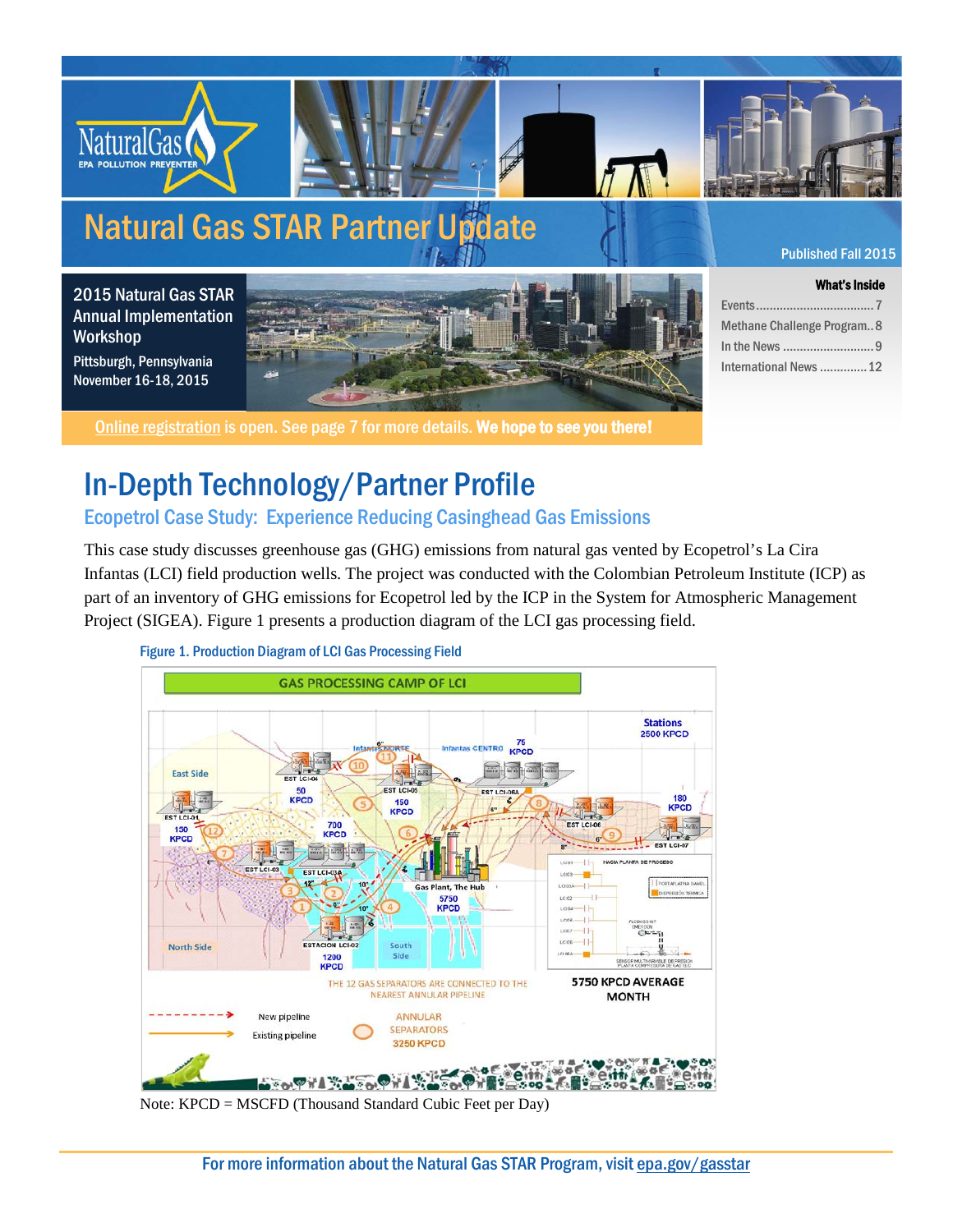

What's Inside

Events...................................7 Methane Challenge Program..8 In the News ...........................9 International News..............12

#### 2015 Natural Gas STAR Annual Implementation Workshop Pittsburgh, Pennsylvania November 16-18, 2015



[Online registration](https://projects.erg.com/conferences/gasstar_reg/register-gasstar15.asp) is open. See page 7 for more details. We hope to see you there!

## In-Depth Technology/Partner Profile

Ecopetrol Case Study: Experience Reducing Casinghead Gas Emissions

This case study discusses greenhouse gas (GHG) emissions from natural gas vented by Ecopetrol's La Cira Infantas (LCI) field production wells. The project was conducted with the Colombian Petroleum Institute (ICP) as part of an inventory of GHG emissions for Ecopetrol led by the ICP in the System for Atmospheric Management Project (SIGEA). Figure 1 presents a production diagram of the LCI gas processing field.



Figure 1. Production Diagram of LCI Gas Processing Field

Note: KPCD = MSCFD (Thousand Standard Cubic Feet per Day)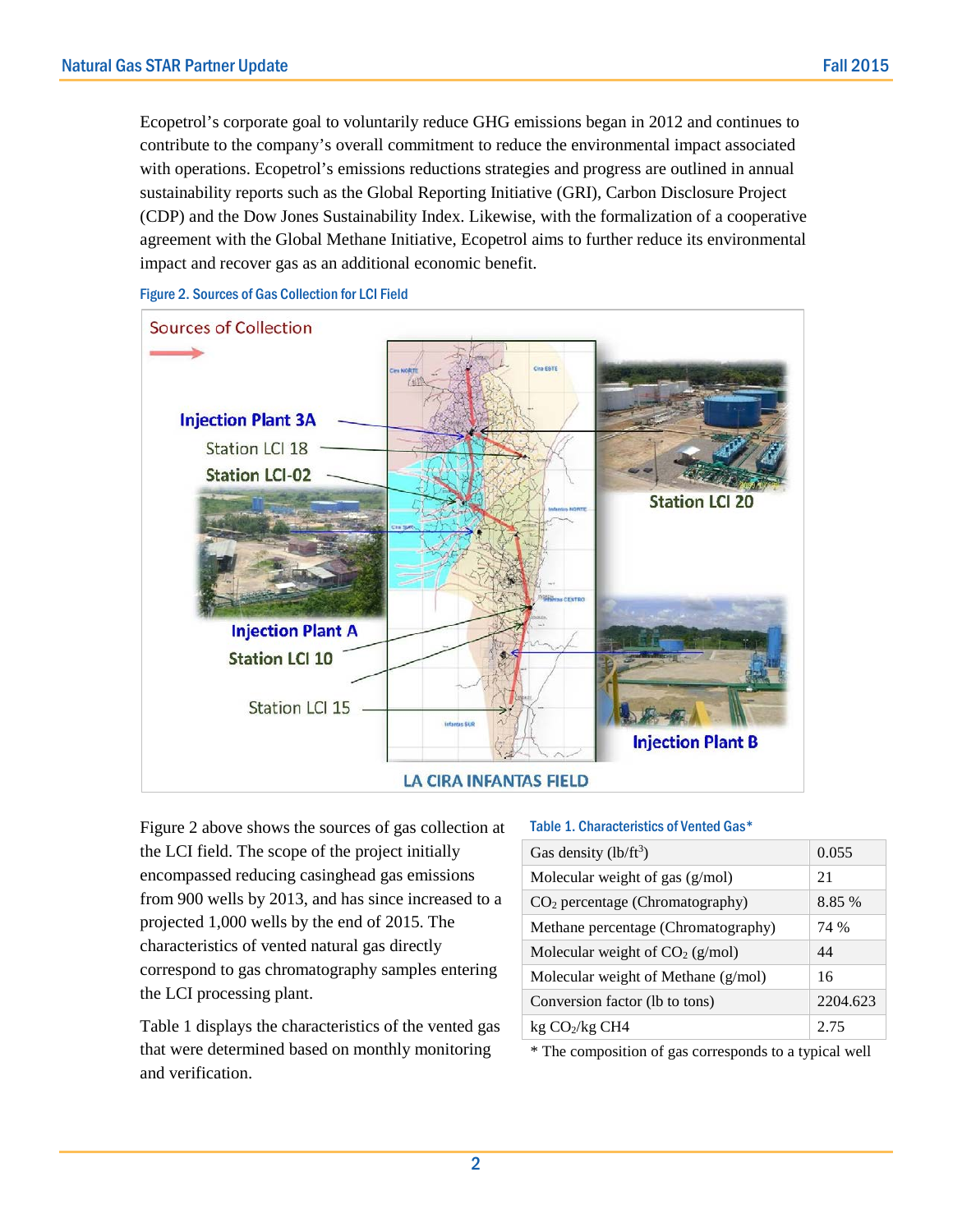Ecopetrol's corporate goal to voluntarily reduce GHG emissions began in 2012 and continues to contribute to the company's overall commitment to reduce the environmental impact associated with operations. Ecopetrol's emissions reductions strategies and progress are outlined in annual sustainability reports such as the Global Reporting Initiative (GRI), Carbon Disclosure Project (CDP) and the Dow Jones Sustainability Index. Likewise, with the formalization of a cooperative agreement with the Global Methane Initiative, Ecopetrol aims to further reduce its environmental impact and recover gas as an additional economic benefit.



Figure 2. Sources of Gas Collection for LCI Field

Figure 2 above shows the sources of gas collection at the LCI field. The scope of the project initially encompassed reducing casinghead gas emissions from 900 wells by 2013, and has since increased to a projected 1,000 wells by the end of 2015. The characteristics of vented natural gas directly correspond to gas chromatography samples entering the LCI processing plant.

Table 1 displays the characteristics of the vented gas that were determined based on monthly monitoring and verification.

#### Table 1. Characteristics of Vented Gas\*

| Gas density $(lb/ft^3)$               | 0.055    |  |  |
|---------------------------------------|----------|--|--|
| Molecular weight of gas (g/mol)       | 21       |  |  |
| $CO2$ percentage (Chromatography)     | 8.85 %   |  |  |
| Methane percentage (Chromatography)   | 74 %     |  |  |
| Molecular weight of $CO2$ (g/mol)     | 44       |  |  |
| Molecular weight of Methane $(g/mol)$ | 16       |  |  |
| Conversion factor (lb to tons)        | 2204.623 |  |  |
| $kg CO_2/kg CH4$                      | 2.75     |  |  |

\* The composition of gas corresponds to a typical well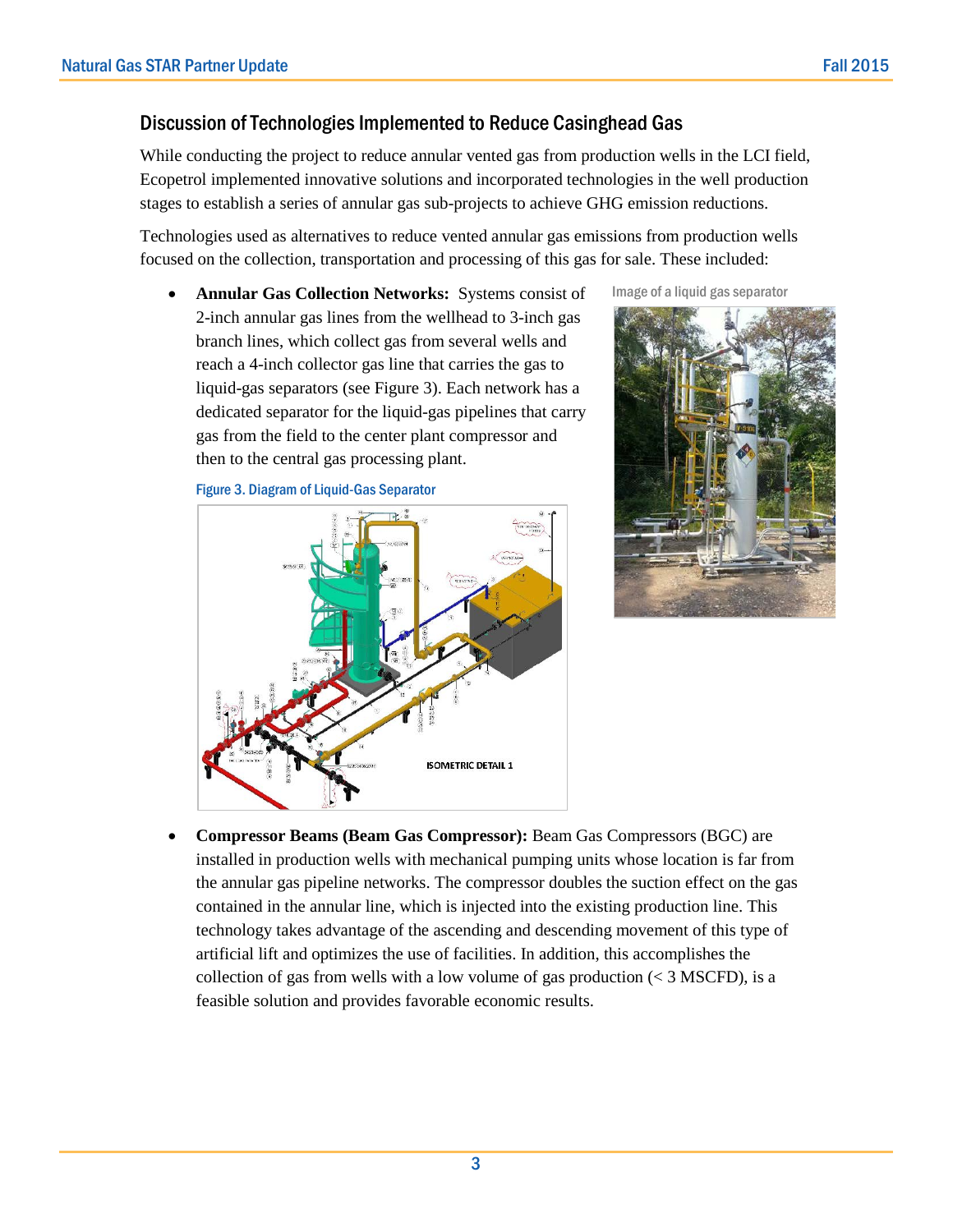### Discussion of Technologies Implemented to Reduce Casinghead Gas

While conducting the project to reduce annular vented gas from production wells in the LCI field, Ecopetrol implemented innovative solutions and incorporated technologies in the well production stages to establish a series of annular gas sub-projects to achieve GHG emission reductions.

Technologies used as alternatives to reduce vented annular gas emissions from production wells focused on the collection, transportation and processing of this gas for sale. These included:

• **Annular Gas Collection Networks:** Systems consist of 2-inch annular gas lines from the wellhead to 3-inch gas branch lines, which collect gas from several wells and reach a 4-inch collector gas line that carries the gas to liquid-gas separators (see Figure 3). Each network has a dedicated separator for the liquid-gas pipelines that carry gas from the field to the center plant compressor and then to the central gas processing plant.

Figure 3. Diagram of Liquid-Gas Separator







• **Compressor Beams (Beam Gas Compressor):** Beam Gas Compressors (BGC) are installed in production wells with mechanical pumping units whose location is far from the annular gas pipeline networks. The compressor doubles the suction effect on the gas contained in the annular line, which is injected into the existing production line. This technology takes advantage of the ascending and descending movement of this type of artificial lift and optimizes the use of facilities. In addition, this accomplishes the collection of gas from wells with a low volume of gas production  $(< 3$  MSCFD), is a feasible solution and provides favorable economic results.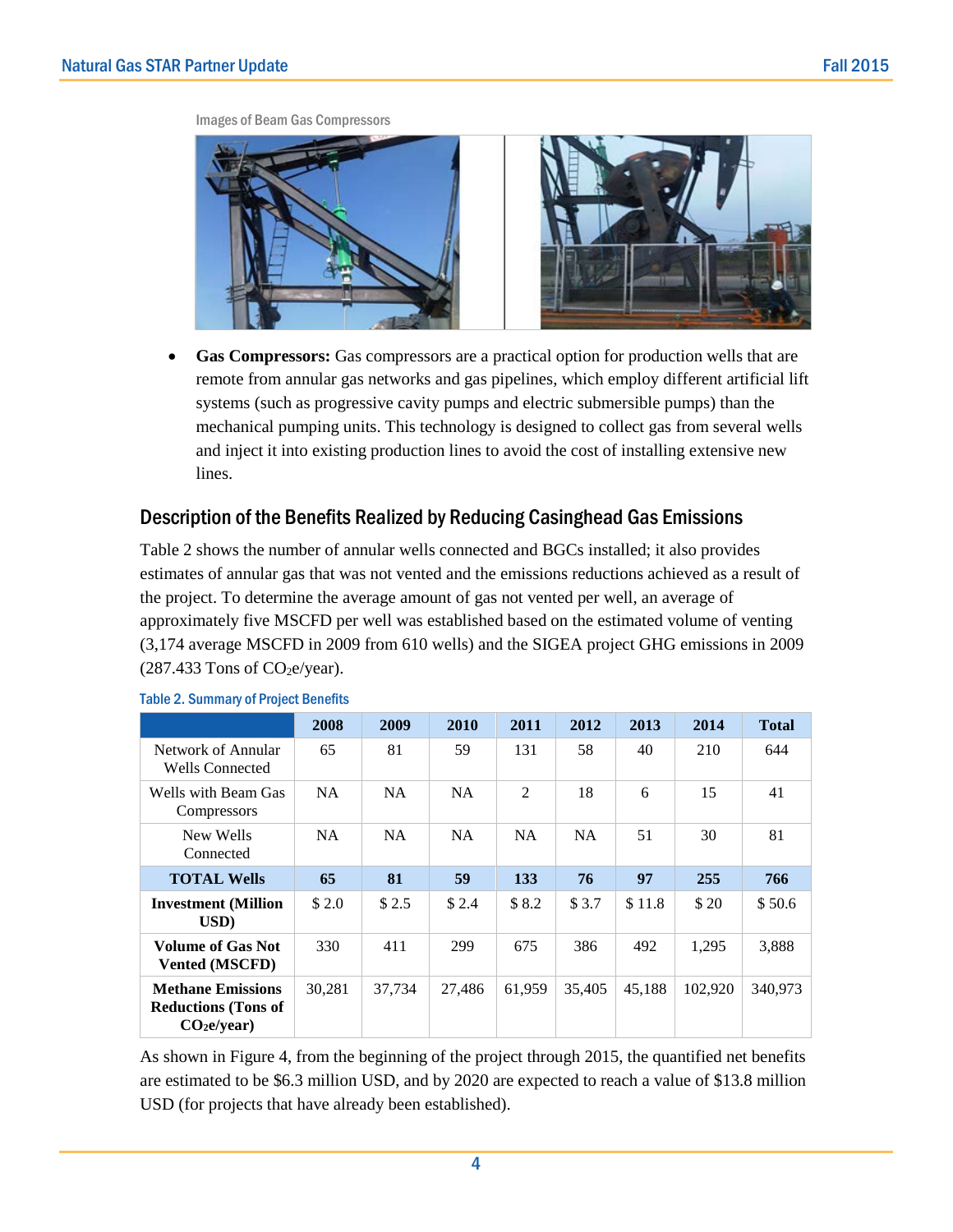

Images of Beam Gas Compressors

• **Gas Compressors:** Gas compressors are a practical option for production wells that are remote from annular gas networks and gas pipelines, which employ different artificial lift systems (such as progressive cavity pumps and electric submersible pumps) than the mechanical pumping units. This technology is designed to collect gas from several wells and inject it into existing production lines to avoid the cost of installing extensive new lines.

### Description of the Benefits Realized by Reducing Casinghead Gas Emissions

Table 2 shows the number of annular wells connected and BGCs installed; it also provides estimates of annular gas that was not vented and the emissions reductions achieved as a result of the project. To determine the average amount of gas not vented per well, an average of approximately five MSCFD per well was established based on the estimated volume of venting (3,174 average MSCFD in 2009 from 610 wells) and the SIGEA project GHG emissions in 2009  $(287.433$  Tons of CO<sub>2</sub>e/year).

|                                                                                   | 2008      | 2009      | 2010      | 2011      | 2012      | 2013   | 2014    | <b>Total</b> |
|-----------------------------------------------------------------------------------|-----------|-----------|-----------|-----------|-----------|--------|---------|--------------|
| Network of Annular<br><b>Wells Connected</b>                                      | 65        | 81        | 59        | 131       | 58        | 40     | 210     | 644          |
| Wells with Beam Gas<br><b>Compressors</b>                                         | <b>NA</b> | <b>NA</b> | <b>NA</b> | 2         | 18        | 6      | 15      | 41           |
| New Wells<br>Connected                                                            | <b>NA</b> | <b>NA</b> | NA.       | <b>NA</b> | <b>NA</b> | 51     | 30      | 81           |
| <b>TOTAL Wells</b>                                                                | 65        | 81        | 59        | 133       | 76        | 97     | 255     | 766          |
| <b>Investment</b> (Million<br>$\bf{USD}$                                          | \$2.0     | \$2.5     | \$2.4     | \$8.2     | \$3.7     | \$11.8 | \$20    | \$50.6       |
| <b>Volume of Gas Not</b><br><b>Vented (MSCFD)</b>                                 | 330       | 411       | 299       | 675       | 386       | 492    | 1,295   | 3,888        |
| <b>Methane Emissions</b><br><b>Reductions (Tons of</b><br>CO <sub>2</sub> e/year) | 30.281    | 37.734    | 27.486    | 61.959    | 35,405    | 45.188 | 102.920 | 340.973      |

Table 2. Summary of Project Benefits

As shown in Figure 4, from the beginning of the project through 2015, the quantified net benefits are estimated to be \$6.3 million USD, and by 2020 are expected to reach a value of \$13.8 million USD (for projects that have already been established).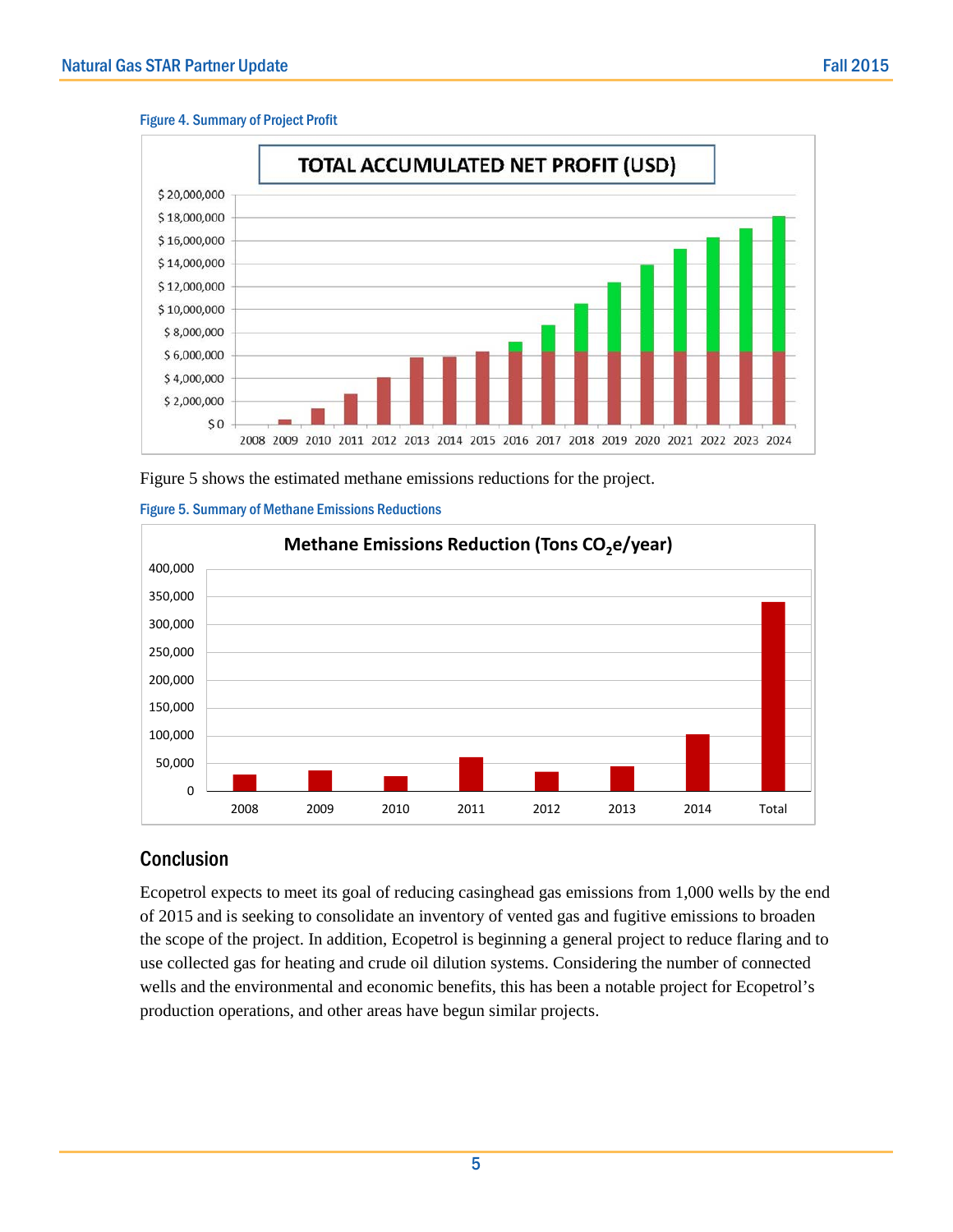#### Figure 4. Summary of Project Profit



Figure 5 shows the estimated methane emissions reductions for the project.





## **Conclusion**

Ecopetrol expects to meet its goal of reducing casinghead gas emissions from 1,000 wells by the end of 2015 and is seeking to consolidate an inventory of vented gas and fugitive emissions to broaden the scope of the project. In addition, Ecopetrol is beginning a general project to reduce flaring and to use collected gas for heating and crude oil dilution systems. Considering the number of connected wells and the environmental and economic benefits, this has been a notable project for Ecopetrol's production operations, and other areas have begun similar projects.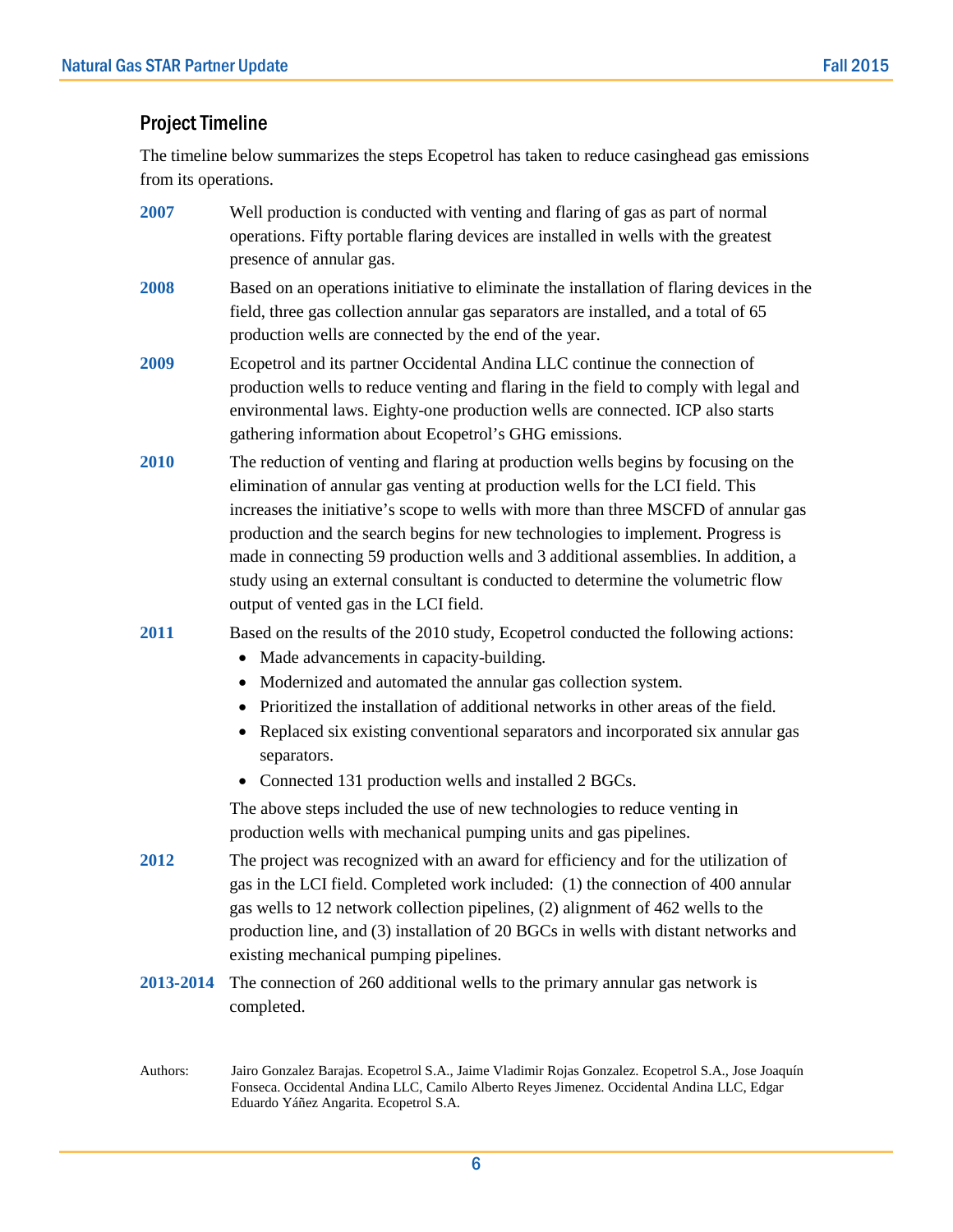### Project Timeline

The timeline below summarizes the steps Ecopetrol has taken to reduce casinghead gas emissions from its operations.

- **2007** Well production is conducted with venting and flaring of gas as part of normal operations. Fifty portable flaring devices are installed in wells with the greatest presence of annular gas.
- **2008** Based on an operations initiative to eliminate the installation of flaring devices in the field, three gas collection annular gas separators are installed, and a total of 65 production wells are connected by the end of the year.
- **2009** Ecopetrol and its partner Occidental Andina LLC continue the connection of production wells to reduce venting and flaring in the field to comply with legal and environmental laws. Eighty-one production wells are connected. ICP also starts gathering information about Ecopetrol's GHG emissions.
- **2010** The reduction of venting and flaring at production wells begins by focusing on the elimination of annular gas venting at production wells for the LCI field. This increases the initiative's scope to wells with more than three MSCFD of annular gas production and the search begins for new technologies to implement. Progress is made in connecting 59 production wells and 3 additional assemblies. In addition, a study using an external consultant is conducted to determine the volumetric flow output of vented gas in the LCI field.

**2011** Based on the results of the 2010 study, Ecopetrol conducted the following actions:

- Made advancements in capacity-building.
- Modernized and automated the annular gas collection system.
- Prioritized the installation of additional networks in other areas of the field.
- Replaced six existing conventional separators and incorporated six annular gas separators.
- Connected 131 production wells and installed 2 BGCs.

The above steps included the use of new technologies to reduce venting in production wells with mechanical pumping units and gas pipelines.

- **2012** The project was recognized with an award for efficiency and for the utilization of gas in the LCI field. Completed work included: (1) the connection of 400 annular gas wells to 12 network collection pipelines, (2) alignment of 462 wells to the production line, and (3) installation of 20 BGCs in wells with distant networks and existing mechanical pumping pipelines.
- **2013-2014** The connection of 260 additional wells to the primary annular gas network is completed.
- Authors: Jairo Gonzalez Barajas. Ecopetrol S.A., Jaime Vladimir Rojas Gonzalez. Ecopetrol S.A., Jose Joaquín Fonseca. Occidental Andina LLC, Camilo Alberto Reyes Jimenez. Occidental Andina LLC, Edgar Eduardo Yáñez Angarita. Ecopetrol S.A.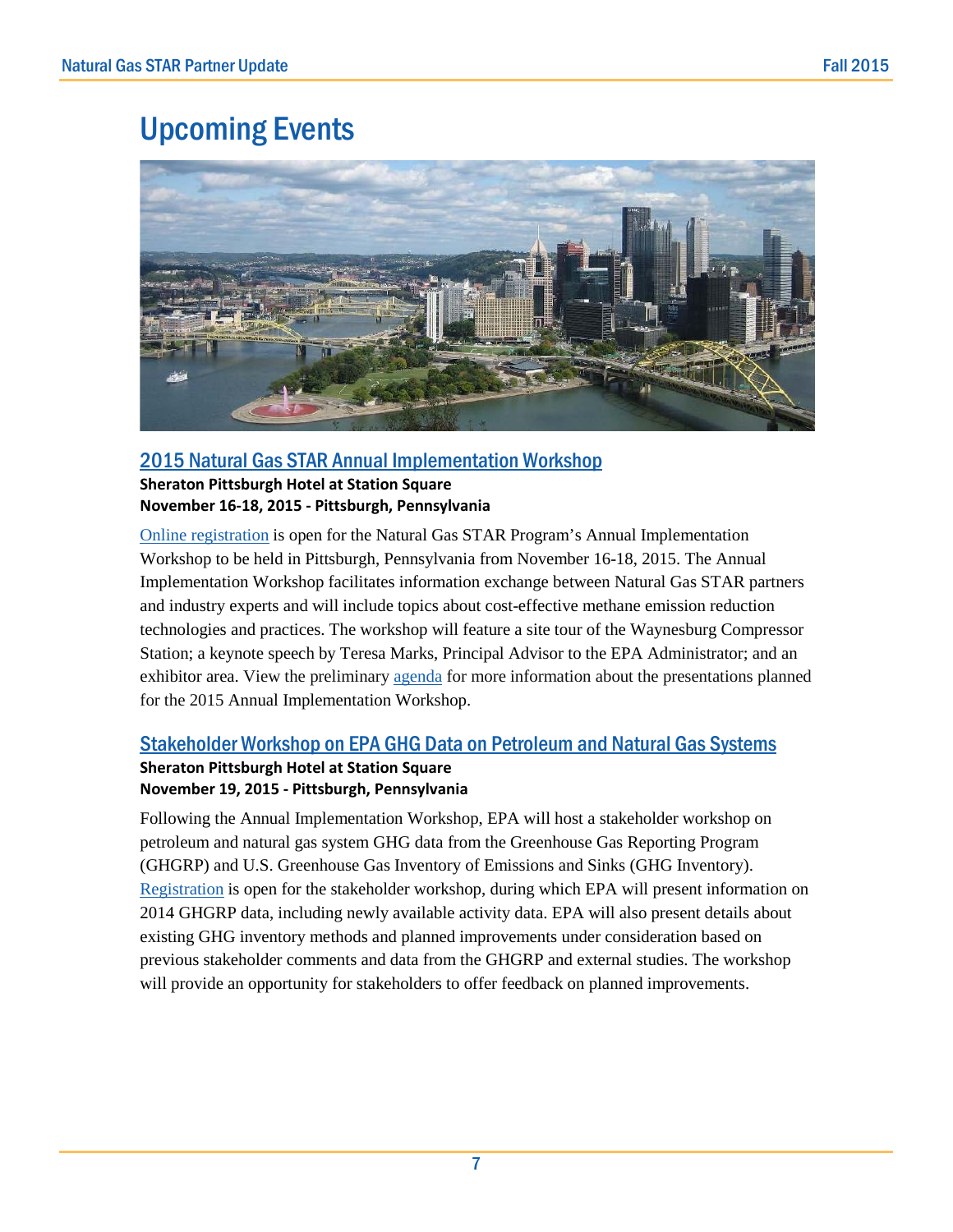## Upcoming Events



### [2015 Natural Gas STAR Annual Implementation Workshop](http://www.epa.gov/gasstar/workshops/annualimplementation/2015.html)

**Sheraton Pittsburgh Hotel at Station Square November 16-18, 2015 - Pittsburgh, Pennsylvania** 

[Online registration](https://projects.erg.com/conferences/gasstar_reg/register-gasstar15.asp) is open for the Natural Gas STAR Program's Annual Implementation Workshop to be held in Pittsburgh, Pennsylvania from November 16-18, 2015. The Annual Implementation Workshop facilitates information exchange between Natural Gas STAR partners and industry experts and will include topics about cost-effective methane emission reduction technologies and practices. The workshop will feature a site tour of the Waynesburg Compressor Station; a keynote speech by Teresa Marks, Principal Advisor to the EPA Administrator; and an exhibitor area. View the preliminary [agenda](http://www3.epa.gov/gasstar/documents/workshops/2015_annimp_agenda.pdf) for more information about the presentations planned for the 2015 Annual Implementation Workshop.

### [Stakeholder Workshop on EPA GHG Data on Petroleum and Natural Gas Systems](http://www3.epa.gov/climatechange/ghgemissions/Nov2015Workshop.html)

#### **Sheraton Pittsburgh Hotel at Station Square November 19, 2015 - Pittsburgh, Pennsylvania**

Following the Annual Implementation Workshop, EPA will host a stakeholder workshop on petroleum and natural gas system GHG data from the Greenhouse Gas Reporting Program (GHGRP) and U.S. Greenhouse Gas Inventory of Emissions and Sinks (GHG Inventory). [Registration](http://www3.epa.gov/climatechange/ghgemissions/Nov2015WorkshopReg.html) is open for the stakeholder workshop, during which EPA will present information on 2014 GHGRP data, including newly available activity data. EPA will also present details about existing GHG inventory methods and planned improvements under consideration based on previous stakeholder comments and data from the GHGRP and external studies. The workshop will provide an opportunity for stakeholders to offer feedback on planned improvements.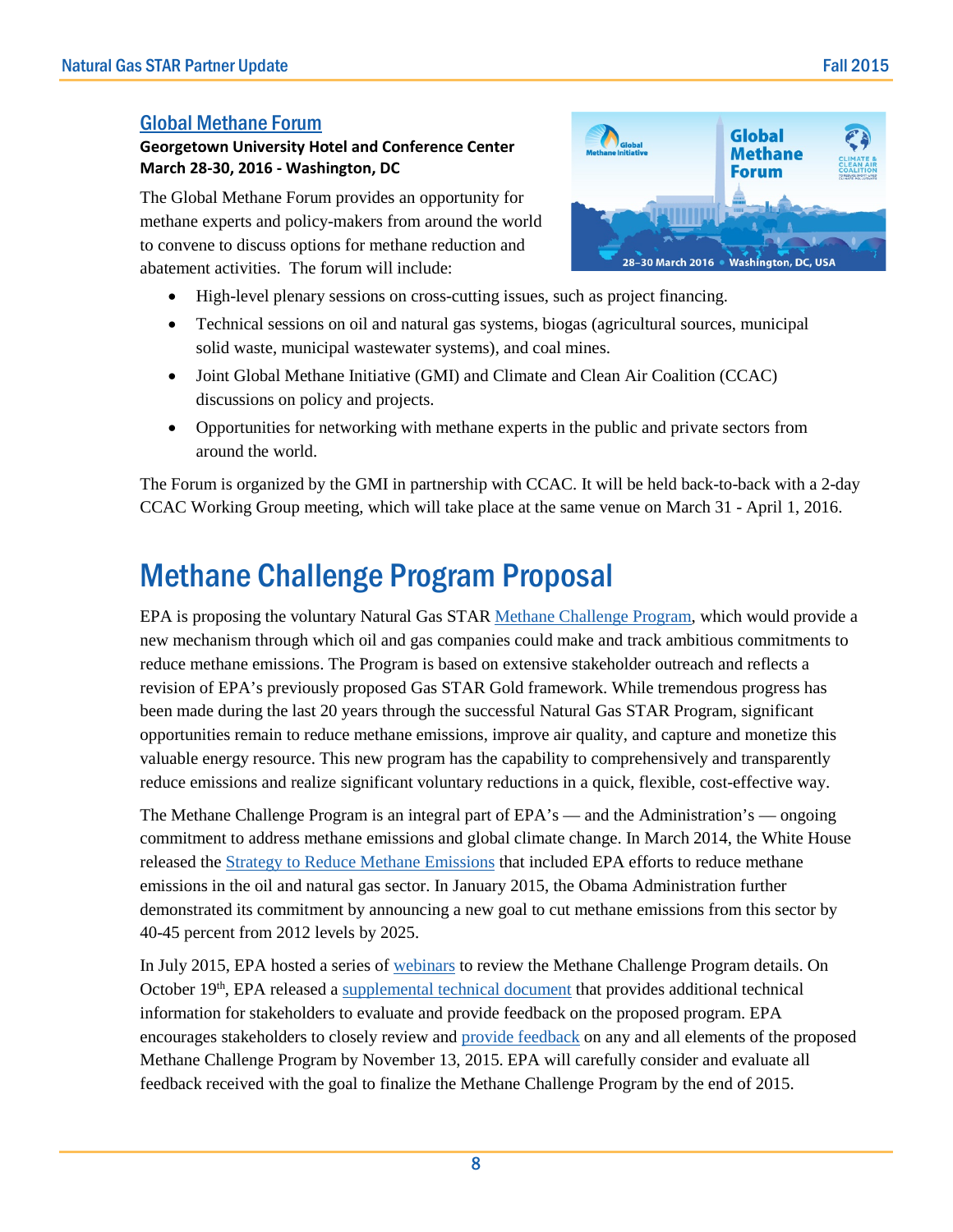### [Global Methane Forum](https://www.globalmethane.org/forum/)

#### **Georgetown University Hotel and Conference Center March 28-30, 2016 - Washington, DC**

The Global Methane Forum provides an opportunity for methane experts and policy-makers from around the world to convene to discuss options for methane reduction and abatement activities. The forum will include:

- High-level plenary sessions on cross-cutting issues, such as project financing.
- Technical sessions on oil and natural gas systems, biogas (agricultural sources, municipal solid waste, municipal wastewater systems), and coal mines.
- Joint Global Methane Initiative (GMI) and Climate and Clean Air Coalition (CCAC) discussions on policy and projects.
- Opportunities for networking with methane experts in the public and private sectors from around the world.

The Forum is organized by the GMI in partnership with CCAC. It will be held back-to-back with a 2-day CCAC Working Group meeting, which will take place at the same venue on March 31 - April 1, 2016.

# Methane Challenge Program Proposal

EPA is proposing the voluntary Natural Gas STAR [Methane Challenge Program,](http://www3.epa.gov/gasstar/methanechallenge/index.html) which would provide a new mechanism through which oil and gas companies could make and track ambitious commitments to reduce methane emissions. The Program is based on extensive stakeholder outreach and reflects a revision of EPA's previously proposed Gas STAR Gold framework. While tremendous progress has been made during the last 20 years through the successful Natural Gas STAR Program, significant opportunities remain to reduce methane emissions, improve air quality, and capture and monetize this valuable energy resource. This new program has the capability to comprehensively and transparently reduce emissions and realize significant voluntary reductions in a quick, flexible, cost-effective way.

The Methane Challenge Program is an integral part of EPA's — and the Administration's — ongoing commitment to address methane emissions and global climate change. In March 2014, the White House released the [Strategy to Reduce Methane Emissions](https://www.whitehouse.gov/sites/default/files/strategy_to_reduce_methane_emissions_2014-03-28_final.pdf) that included EPA efforts to reduce methane emissions in the oil and natural gas sector. In January 2015, the Obama Administration further demonstrated its commitment by announcing a new goal to cut methane emissions from this sector by 40-45 percent from 2012 levels by 2025.

In July 2015, EPA hosted a series of [webinars](http://www.epa.gov/gasstar/methanechallenge/webinars.html) to review the Methane Challenge Program details. On October 19<sup>th</sup>, EPA released a [supplemental technical document](http://www3.epa.gov/gasstar/documents/MC-Supp-Tech-Info-Draft-10-19-15_508.pdf) that provides additional technical information for stakeholders to evaluate and provide feedback on the proposed program. EPA encourages stakeholders to closely review and [provide feedback](http://www.epa.gov/gasstar/methanechallenge/feedback.html) on any and all elements of the proposed Methane Challenge Program by November 13, 2015. EPA will carefully consider and evaluate all feedback received with the goal to finalize the Methane Challenge Program by the end of 2015.

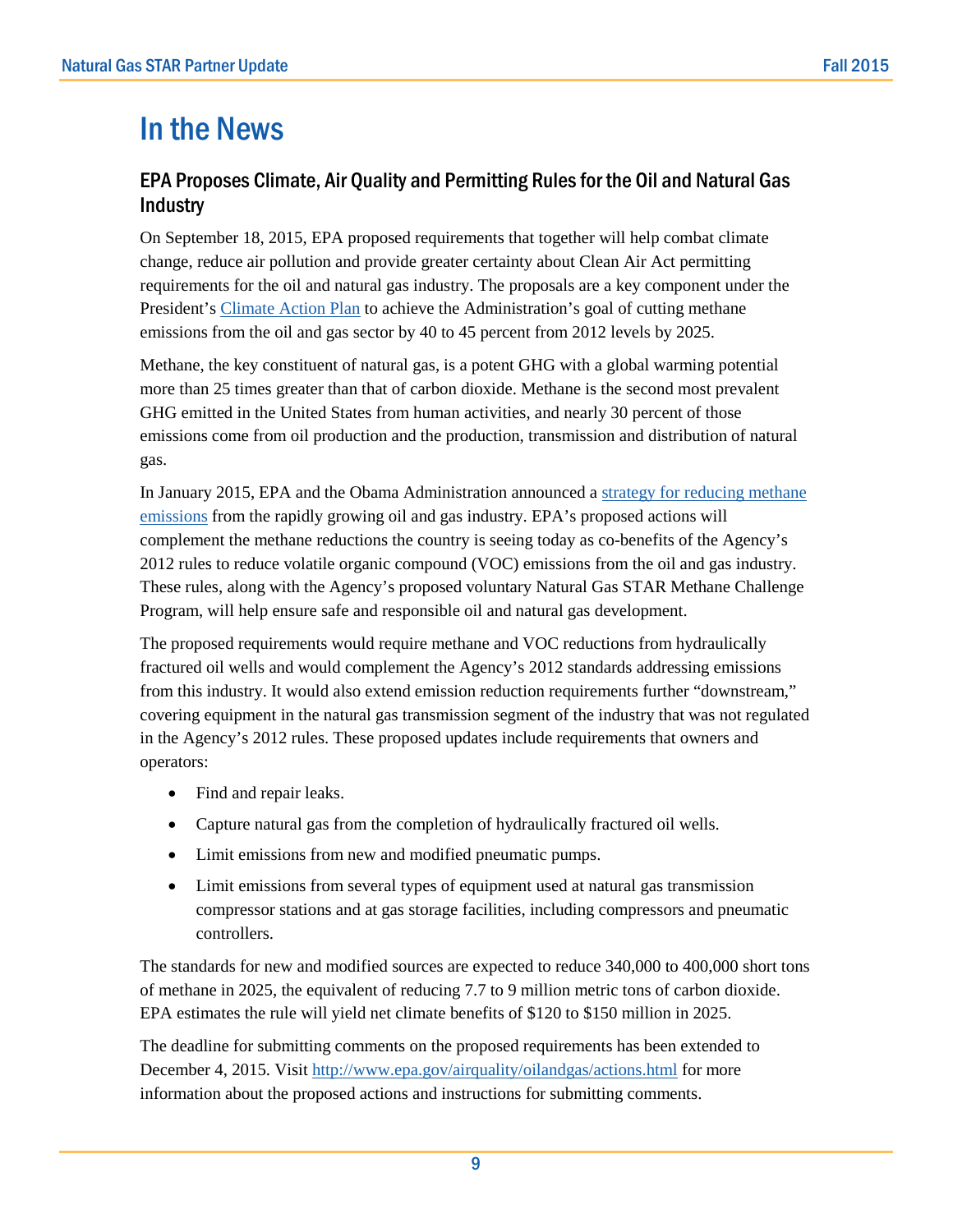# In the News

## EPA Proposes Climate, Air Quality and Permitting Rules for the Oil and Natural Gas **Industry**

On September 18, 2015, EPA proposed requirements that together will help combat climate change, reduce air pollution and provide greater certainty about Clean Air Act permitting requirements for the oil and natural gas industry. The proposals are a key component under the President's [Climate Action Plan](https://www.whitehouse.gov/sites/default/files/image/president27sclimateactionplan.pdf) to achieve the Administration's goal of cutting methane emissions from the oil and gas sector by 40 to 45 percent from 2012 levels by 2025.

Methane, the key constituent of natural gas, is a potent GHG with a global warming potential more than 25 times greater than that of carbon dioxide. Methane is the second most prevalent GHG emitted in the United States from human activities, and nearly 30 percent of those emissions come from oil production and the production, transmission and distribution of natural gas.

In January 2015, EPA and the Obama Administration announced a [strategy for reducing methane](http://www.epa.gov/gasstar/methanechallenge/goal.html)  [emissions](http://www.epa.gov/gasstar/methanechallenge/goal.html) from the rapidly growing oil and gas industry. EPA's proposed actions will complement the methane reductions the country is seeing today as co-benefits of the Agency's 2012 rules to reduce volatile organic compound (VOC) emissions from the oil and gas industry. These rules, along with the Agency's proposed voluntary Natural Gas STAR Methane Challenge Program, will help ensure safe and responsible oil and natural gas development.

The proposed requirements would require methane and VOC reductions from hydraulically fractured oil wells and would complement the Agency's 2012 standards addressing emissions from this industry. It would also extend emission reduction requirements further "downstream," covering equipment in the natural gas transmission segment of the industry that was not regulated in the Agency's 2012 rules. These proposed updates include requirements that owners and operators:

- Find and repair leaks.
- Capture natural gas from the completion of hydraulically fractured oil wells.
- Limit emissions from new and modified pneumatic pumps.
- Limit emissions from several types of equipment used at natural gas transmission compressor stations and at gas storage facilities, including compressors and pneumatic controllers.

The standards for new and modified sources are expected to reduce 340,000 to 400,000 short tons of methane in 2025, the equivalent of reducing 7.7 to 9 million metric tons of carbon dioxide. EPA estimates the rule will yield net climate benefits of \$120 to \$150 million in 2025.

The deadline for submitting comments on the proposed requirements has been extended to December 4, 2015. Visit <http://www.epa.gov/airquality/oilandgas/actions.html> for more information about the proposed actions and instructions for submitting comments.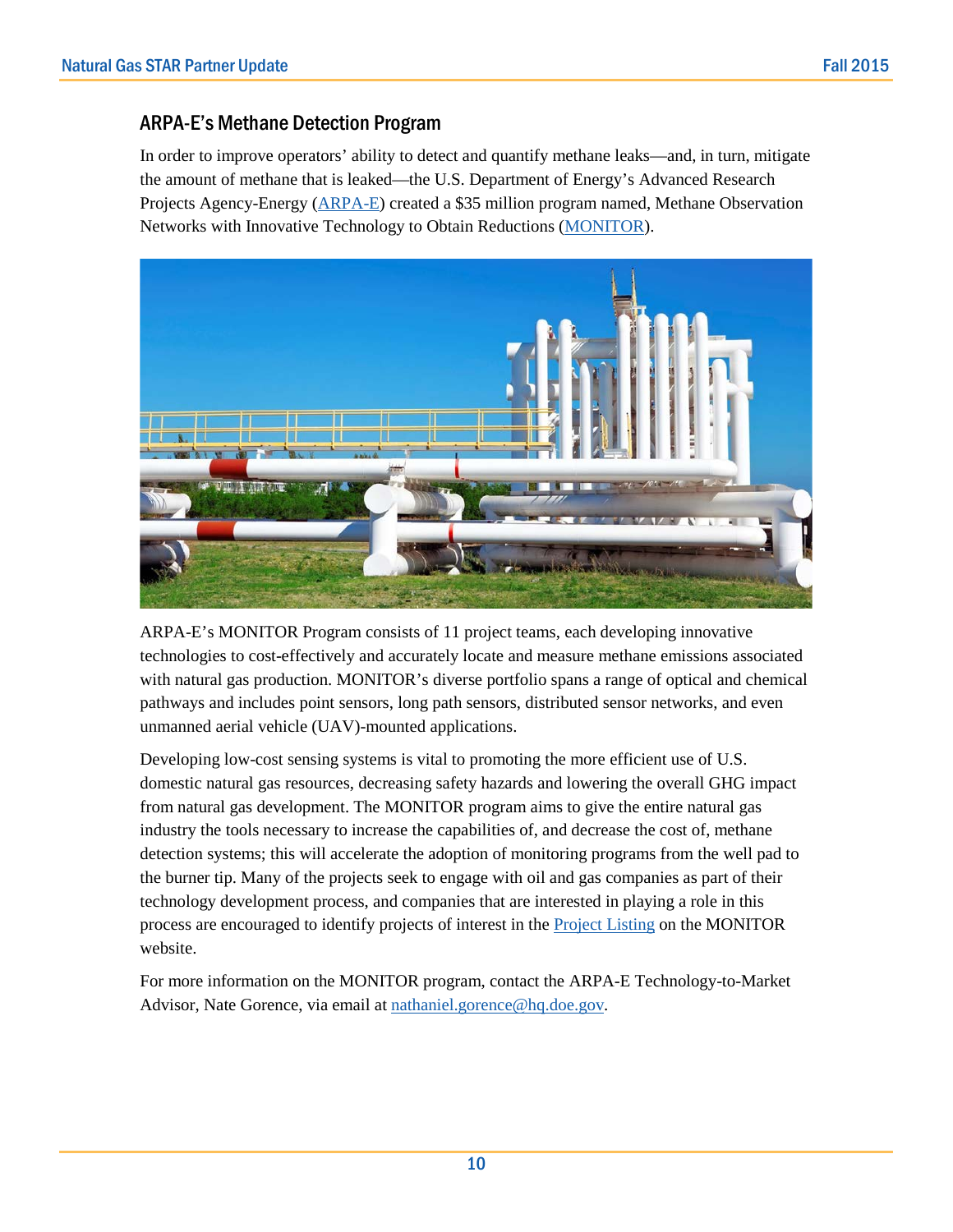## ARPA-E's Methane Detection Program

In order to improve operators' ability to detect and quantify methane leaks—and, in turn, mitigate the amount of methane that is leaked—the U.S. Department of Energy's Advanced Research Projects Agency-Energy [\(ARPA-E\)](http://arpa-e.energy.gov/) created a \$35 million program named, Methane Observation Networks with Innovative Technology to Obtain Reductions [\(MONITOR\)](http://arpa-e.energy.gov/?q=arpa-e-programs/monitor).



ARPA-E's MONITOR Program consists of 11 project teams, each developing innovative technologies to cost-effectively and accurately locate and measure methane emissions associated with natural gas production. MONITOR's diverse portfolio spans a range of optical and chemical pathways and includes point sensors, long path sensors, distributed sensor networks, and even unmanned aerial vehicle (UAV)-mounted applications.

Developing low-cost sensing systems is vital to promoting the more efficient use of U.S. domestic natural gas resources, decreasing safety hazards and lowering the overall GHG impact from natural gas development. The MONITOR program aims to give the entire natural gas industry the tools necessary to increase the capabilities of, and decrease the cost of, methane detection systems; this will accelerate the adoption of monitoring programs from the well pad to the burner tip. Many of the projects seek to engage with oil and gas companies as part of their technology development process, and companies that are interested in playing a role in this process are encouraged to identify projects of interest in th[e Project Listing](http://arpa-e.energy.gov/?q=arpa-e-programs/monitor) on the MONITOR website.

For more information on the MONITOR program, contact the ARPA-E Technology-to-Market Advisor, Nate Gorence, via email at [nathaniel.gorence@hq.doe.gov.](mailto:nathaniel.gorence@hq.doe.gov)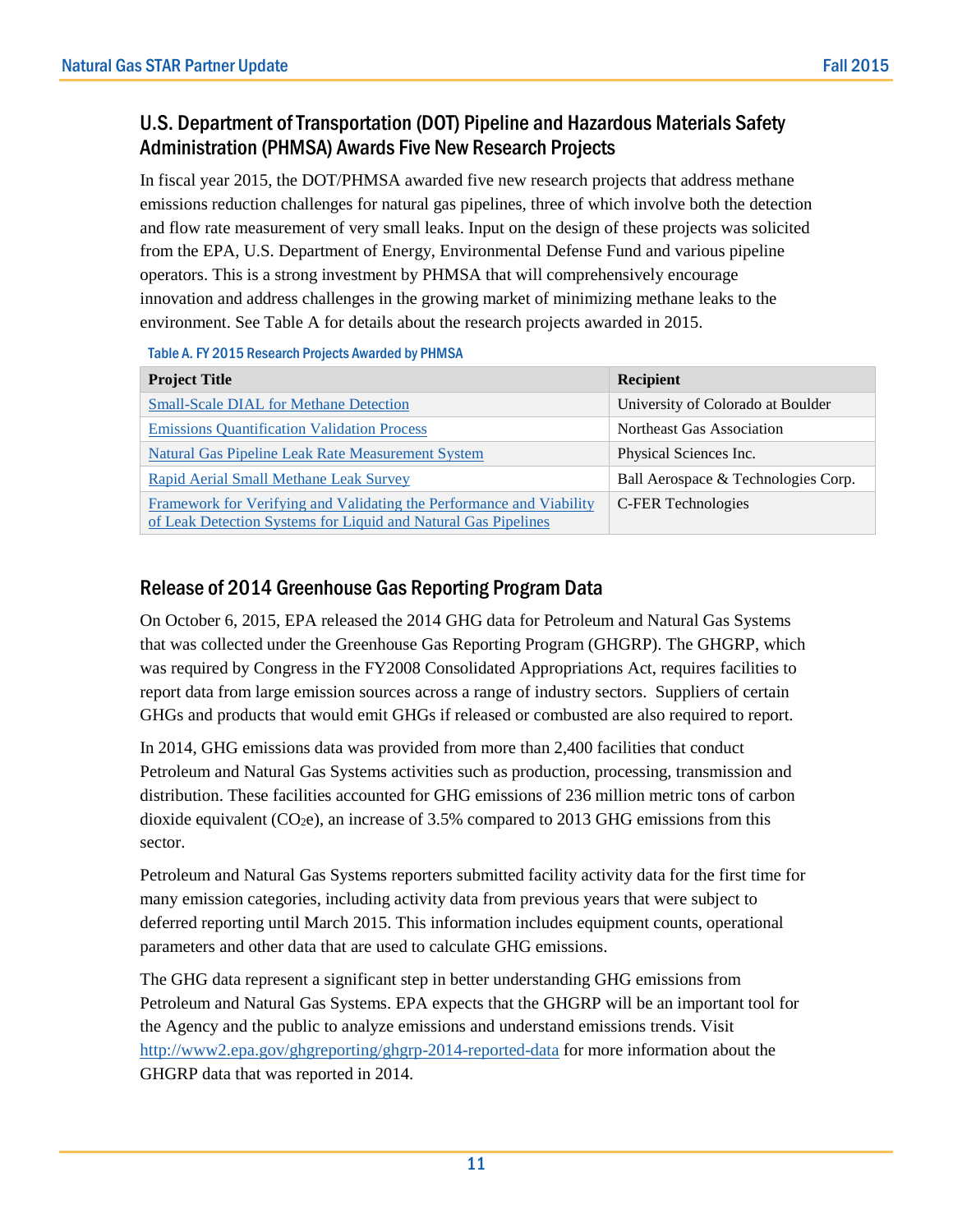## U.S. Department of Transportation (DOT) Pipeline and Hazardous Materials Safety Administration (PHMSA) Awards Five New Research Projects

In fiscal year 2015, the DOT/PHMSA awarded five new research projects that address methane emissions reduction challenges for natural gas pipelines, three of which involve both the detection and flow rate measurement of very small leaks. Input on the design of these projects was solicited from the EPA, U.S. Department of Energy, Environmental Defense Fund and various pipeline operators. This is a strong investment by PHMSA that will comprehensively encourage innovation and address challenges in the growing market of minimizing methane leaks to the environment. See Table A for details about the research projects awarded in 2015.

| <u>TADIC ALTI ZUID NESEAIUII FIUJEUS AWAIUEU DY FIIMMA</u>                                                                             |                                     |  |  |  |  |
|----------------------------------------------------------------------------------------------------------------------------------------|-------------------------------------|--|--|--|--|
| <b>Project Title</b>                                                                                                                   | <b>Recipient</b>                    |  |  |  |  |
| <b>Small-Scale DIAL for Methane Detection</b>                                                                                          | University of Colorado at Boulder   |  |  |  |  |
| <b>Emissions Quantification Validation Process</b>                                                                                     | Northeast Gas Association           |  |  |  |  |
| <b>Natural Gas Pipeline Leak Rate Measurement System</b>                                                                               | Physical Sciences Inc.              |  |  |  |  |
| Rapid Aerial Small Methane Leak Survey                                                                                                 | Ball Aerospace & Technologies Corp. |  |  |  |  |
| Framework for Verifying and Validating the Performance and Viability<br>of Leak Detection Systems for Liquid and Natural Gas Pipelines | C-FER Technologies                  |  |  |  |  |

### Table A. FY 2015 Research Projects Awarded by PHMSA

## Release of 2014 Greenhouse Gas Reporting Program Data

On October 6, 2015, EPA released the 2014 GHG data for Petroleum and Natural Gas Systems that was collected under the Greenhouse Gas Reporting Program (GHGRP). The GHGRP, which was required by Congress in the FY2008 Consolidated Appropriations Act, requires facilities to report data from large emission sources across a range of industry sectors. Suppliers of certain GHGs and products that would emit GHGs if released or combusted are also required to report.

In 2014, GHG emissions data was provided from more than 2,400 facilities that conduct Petroleum and Natural Gas Systems activities such as production, processing, transmission and distribution. These facilities accounted for GHG emissions of 236 million metric tons of carbon dioxide equivalent  $(CO<sub>2</sub>e)$ , an increase of 3.5% compared to 2013 GHG emissions from this sector.

Petroleum and Natural Gas Systems reporters submitted facility activity data for the first time for many emission categories, including activity data from previous years that were subject to deferred reporting until March 2015. This information includes equipment counts, operational parameters and other data that are used to calculate GHG emissions.

The GHG data represent a significant step in better understanding GHG emissions from Petroleum and Natural Gas Systems. EPA expects that the GHGRP will be an important tool for the Agency and the public to analyze emissions and understand emissions trends. Visit <http://www2.epa.gov/ghgreporting/ghgrp-2014-reported-data> for more information about the GHGRP data that was reported in 2014.